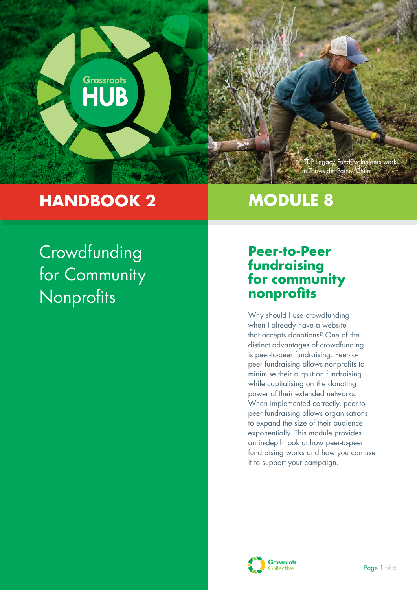

## **HANDBOOK 2**

## **MODULE 8**

# **Crowdfunding** for Community Nonprofits

### **Peer-to-Peer fundraising for community nonprofits**

Why should I use crowdfunding when I already have a website that accepts donations? One of the distinct advantages of crowdfunding is peer-to-peer fundraising. Peer-topeer fundraising allows nonprofits to minimise their output on fundraising while capitalising on the donating power of their extended networks. When implemented correctly, peer-topeer fundraising allows organisations to expand the size of their audience exponentially. This module provides an in-depth look at how peer-to-peer fundraising works and how you can use it to support your campaign.

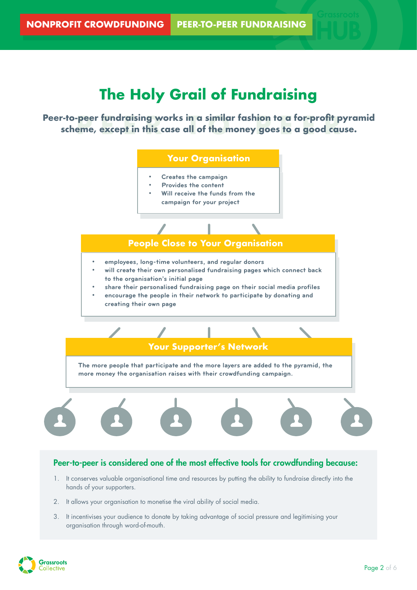## **The Holy Grail of Fundraising**

Peer-to-peer fundraising works in a similar fashion to a for-profit pyramid<br>scheme, except in this case all of the money goes to a good cause. **scheme, except in this case all of the money goes to a good cause.** 



3. It incentivises your audience to donate by taking advantage of social pressure and legitimising your organisation through word-of-mouth.

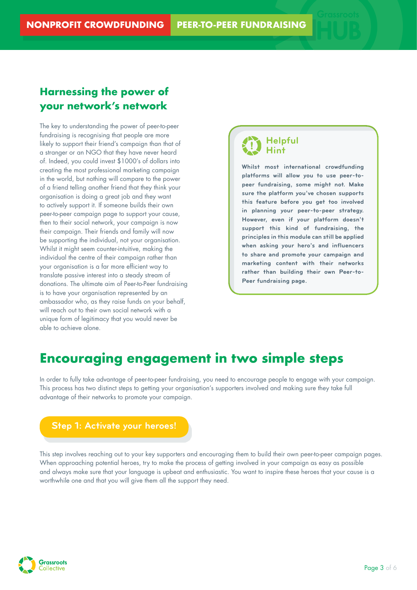#### **Harnessing the power of your network's network**

The key to understanding the power of peer-to-peer fundraising is recognising that people are more likely to support their friend's campaign than that of a stranger or an NGO that they have never heard of. Indeed, you could invest \$1000's of dollars into creating the most professional marketing campaign in the world, but nothing will compare to the power of a friend telling another friend that they think your organisation is doing a great job and they want to actively support it. If someone builds their own peer-to-peer campaign page to support your cause, then to their social network, your campaign is now their campaign. Their friends and family will now be supporting the individual, not your organisation. Whilst it might seem counter-intuitive, making the individual the centre of their campaign rather than your organisation is a far more efficient way to translate passive interest into a steady stream of donations. The ultimate aim of Peer-to-Peer fundraising is to have your organisation represented by an ambassador who, as they raise funds on your behalf, will reach out to their own social network with a unique form of legitimacy that you would never be able to achieve alone.

#### **Helpful Hint**

**Whilst most international crowdfunding platforms will allow you to use peer-topeer fundraising, some might not. Make sure the platform you've chosen supports this feature before you get too involved in planning your peer-to-peer strategy. However, even if your platform doesn't support this kind of fundraising, the principles in this module can still be applied when asking your hero's and influencers to share and promote your campaign and marketing content with their networks rather than building their own Peer-to-Peer fundraising page.**

## **Encouraging engagement in two simple steps**

In order to fully take advantage of peer-to-peer fundraising, you need to encourage people to engage with your campaign. This process has two distinct steps to getting your organisation's supporters involved and making sure they take full advantage of their networks to promote your campaign.



This step involves reaching out to your key supporters and encouraging them to build their own peer-to-peer campaign pages. When approaching potential heroes, try to make the process of getting involved in your campaign as easy as possible and always make sure that your language is upbeat and enthusiastic. You want to inspire these heroes that your cause is a worthwhile one and that you will give them all the support they need.

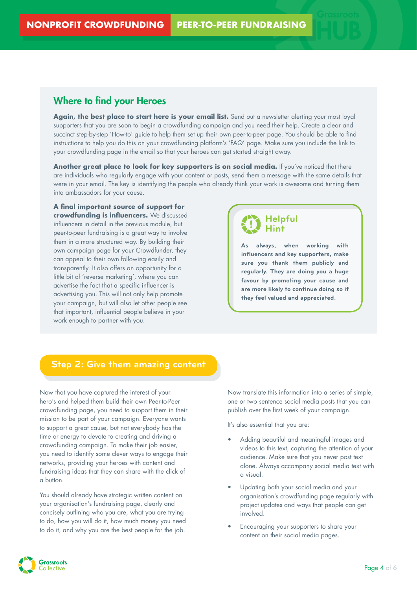#### Where to find your Heroes

Again, the best place to start here is your email list. Send out a newsletter alerting your most loyal supporters that you are soon to begin a crowdfunding campaign and you need their help. Create a clear and succinct step-by-step 'How-to' guide to help them set up their own peer-to-peer page. You should be able to find instructions to help you do this on your crowdfunding platform's 'FAQ' page. Make sure you include the link to your crowdfunding page in the email so that your heroes can get started straight away.

Another great place to look for key supporters is on social media. If you've noticed that there are individuals who regularly engage with your content or posts, send them a message with the same details that were in your email. The key is identifying the people who already think your work is awesome and turning them into ambassadors for your cause.

**A final important source of support for crowdfunding is influencers.** We discussed influencers in detail in the previous module, but peer-to-peer fundraising is a great way to involve them in a more structured way. By building their own campaign page for your Crowdfunder, they can appeal to their own following easily and transparently. It also offers an opportunity for a little bit of 'reverse marketing', where you can advertise the fact that a specific influencer is advertising you. This will not only help promote your campaign, but will also let other people see that important, influential people believe in your work enough to partner with you.



**As always, when working with influencers and key supporters, make sure you thank them publicly and regularly. They are doing you a huge favour by promoting your cause and are more likely to continue doing so if they feel valued and appreciated.**

#### **Step 2: Give them amazing content**

Now that you have captured the interest of your hero's and helped them build their own Peer-to-Peer crowdfunding page, you need to support them in their mission to be part of your campaign. Everyone wants to support a great cause, but not everybody has the time or energy to devote to creating and driving a crowdfunding campaign. To make their job easier, you need to identify some clever ways to engage their networks, providing your heroes with content and fundraising ideas that they can share with the click of a button.

You should already have strategic written content on your organisation's fundraising page, clearly and concisely outlining who you are, what you are trying to do, how you will do it, how much money you need to do it, and why you are the best people for the job.

Now translate this information into a series of simple, one or two sentence social media posts that you can publish over the first week of your campaign.

It's also essential that you are:

- Adding beautiful and meaningful images and videos to this text, capturing the attention of your audience. Make sure that you never post text alone. Always accompany social media text with a visual.
- Updating both your social media and your organisation's crowdfunding page regularly with project updates and ways that people can get involved.
- Encouraging your supporters to share your content on their social media pages.

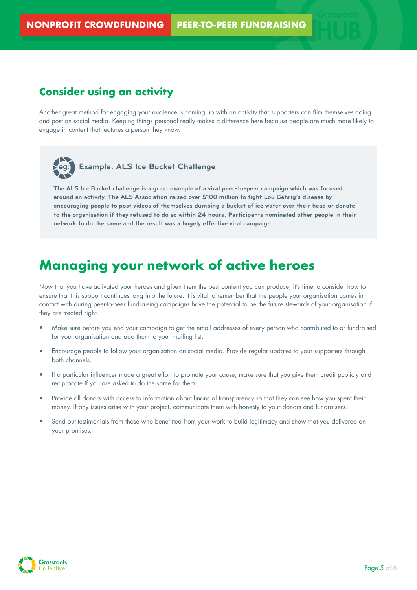#### **Consider using an activity**

Another great method for engaging your audience is coming up with an activity that supporters can film themselves doing and post on social media. Keeping things personal really makes a difference here because people are much more likely to engage in content that features a person they know.



#### **eg: Example: ALS Ice Bucket Challenge**

**The ALS Ice Bucket challenge is a great example of a viral peer-to-peer campaign which was focused around an activity. The ALS Association raised over \$100 million to fight Lou Gehrig's disease by encouraging people to post videos of themselves dumping a bucket of ice water over their head or donate to the organisation if they refused to do so within 24 hours. Participants nominated other people in their network to do the same and the result was a hugely effective viral campaign.**

### **Managing your network of active heroes**

Now that you have activated your heroes and given them the best content you can produce, it's time to consider how to ensure that this support continues long into the future. It is vital to remember that the people your organisation comes in contact with during peer-to-peer fundraising campaigns have the potential to be the future stewards of your organisation if they are treated right.

- Make sure before you end your campaign to get the email addresses of every person who contributed to or fundraised for your organisation and add them to your mailing list.
- Encourage people to follow your organisation on social media. Provide regular updates to your supporters through both channels.
- If a particular influencer made a great effort to promote your cause, make sure that you give them credit publicly and reciprocate if you are asked to do the same for them.
- Provide all donors with access to information about financial transparency so that they can see how you spent their money. If any issues arise with your project, communicate them with honesty to your donors and fundraisers.
- Send out testimonials from those who benefitted from your work to build legitimacy and show that you delivered on your promises.